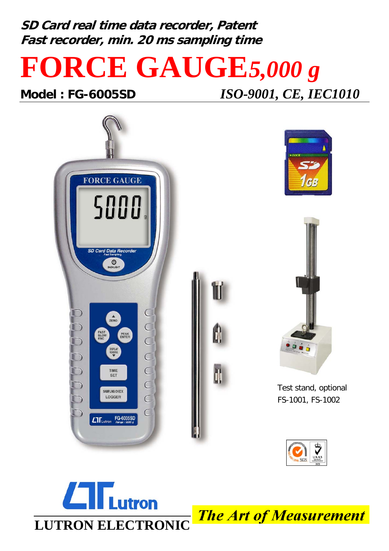**SD Card real time data recorder, Patent Fast recorder, min. 20 ms sampling time**

## **FORCE GAUGE***5,000 g*

**Model : FG-6005SD** *ISO-9001, CE, IEC1010*







Test stand, optional FS-1001, FS-1002





**The Art of Measurement**